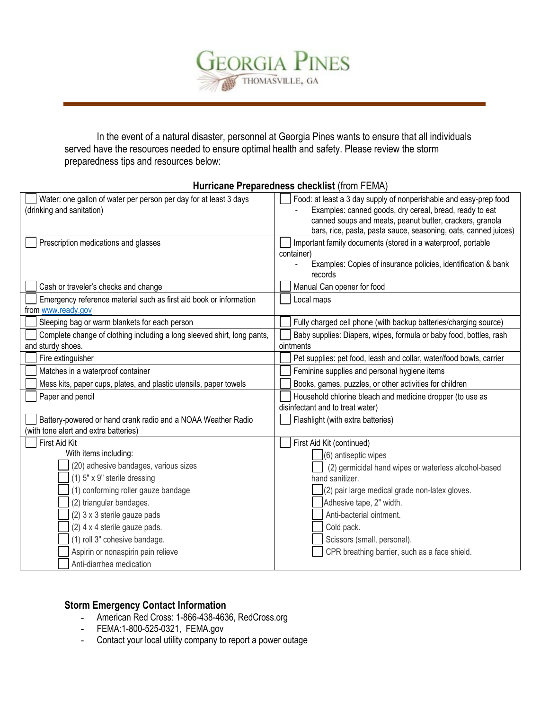

In the event of a natural disaster, personnel at Georgia Pines wants to ensure that all individuals served have the resources needed to ensure optimal health and safety. Please review the storm preparedness tips and resources below:

| Hurricane Preparedness checklist (from FEMA) |  |
|----------------------------------------------|--|
|----------------------------------------------|--|

| Water: one gallon of water per person per day for at least 3 days<br>(drinking and sanitation)        | Food: at least a 3 day supply of nonperishable and easy-prep food<br>Examples: canned goods, dry cereal, bread, ready to eat<br>canned soups and meats, peanut butter, crackers, granola |  |
|-------------------------------------------------------------------------------------------------------|------------------------------------------------------------------------------------------------------------------------------------------------------------------------------------------|--|
|                                                                                                       | bars, rice, pasta, pasta sauce, seasoning, oats, canned juices)                                                                                                                          |  |
| Prescription medications and glasses                                                                  | Important family documents (stored in a waterproof, portable<br>container)<br>Examples: Copies of insurance policies, identification & bank<br>records                                   |  |
| Cash or traveler's checks and change                                                                  | Manual Can opener for food                                                                                                                                                               |  |
| Emergency reference material such as first aid book or information<br>from www.ready.gov              | Local maps                                                                                                                                                                               |  |
| Sleeping bag or warm blankets for each person                                                         | Fully charged cell phone (with backup batteries/charging source)                                                                                                                         |  |
| Complete change of clothing including a long sleeved shirt, long pants,<br>and sturdy shoes.          | Baby supplies: Diapers, wipes, formula or baby food, bottles, rash<br>ointments                                                                                                          |  |
| Fire extinguisher                                                                                     | Pet supplies: pet food, leash and collar, water/food bowls, carrier                                                                                                                      |  |
| Matches in a waterproof container                                                                     | Feminine supplies and personal hygiene items                                                                                                                                             |  |
| Mess kits, paper cups, plates, and plastic utensils, paper towels                                     | Books, games, puzzles, or other activities for children                                                                                                                                  |  |
| Paper and pencil                                                                                      | Household chlorine bleach and medicine dropper (to use as<br>disinfectant and to treat water)                                                                                            |  |
| Battery-powered or hand crank radio and a NOAA Weather Radio<br>(with tone alert and extra batteries) | Flashlight (with extra batteries)                                                                                                                                                        |  |
| First Aid Kit                                                                                         | First Aid Kit (continued)                                                                                                                                                                |  |
| With items including:                                                                                 | (6) antiseptic wipes                                                                                                                                                                     |  |
| (20) adhesive bandages, various sizes                                                                 | (2) germicidal hand wipes or waterless alcohol-based                                                                                                                                     |  |
| $(1)$ 5" x 9" sterile dressing                                                                        | hand sanitizer.                                                                                                                                                                          |  |
| (1) conforming roller gauze bandage                                                                   | (2) pair large medical grade non-latex gloves.                                                                                                                                           |  |
| (2) triangular bandages.                                                                              | Adhesive tape, 2" width.                                                                                                                                                                 |  |
| (2) 3 x 3 sterile gauze pads                                                                          | Anti-bacterial ointment.                                                                                                                                                                 |  |
| (2) 4 x 4 sterile gauze pads.                                                                         | Cold pack.                                                                                                                                                                               |  |
| (1) roll 3" cohesive bandage.                                                                         | Scissors (small, personal).                                                                                                                                                              |  |
| Aspirin or nonaspirin pain relieve                                                                    | CPR breathing barrier, such as a face shield.                                                                                                                                            |  |
| Anti-diarrhea medication                                                                              |                                                                                                                                                                                          |  |

# **Storm Emergency Contact Information**

- **-** American Red Cross: 1-866-438-4636, RedCross.org
- **-** FEMA:1-800-525-0321, FEMA.gov
- **-** Contact your local utility company to report a power outage